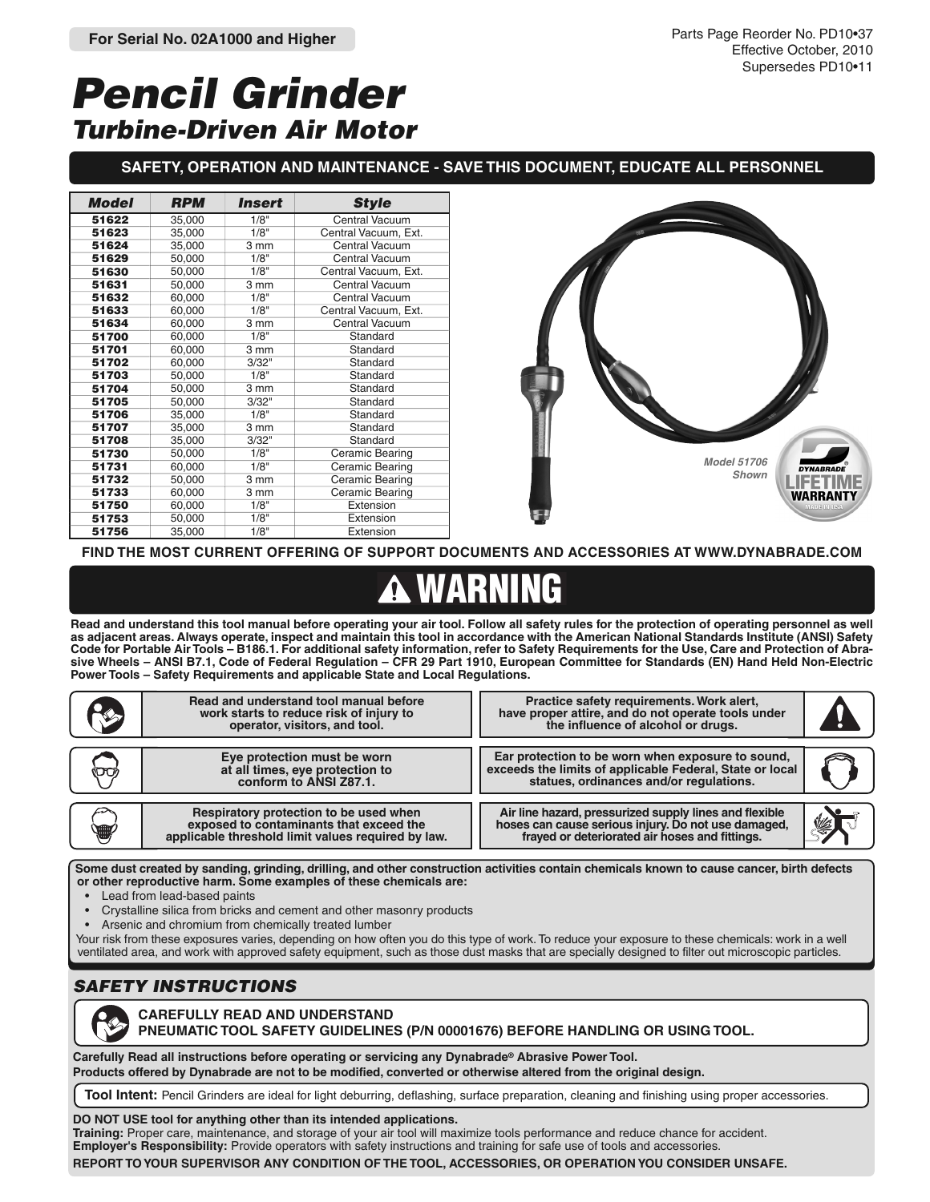# **Pencil Grinder Turbine-Driven Air Motor**

### **SAFETY, OPERATION AND MAINTENANCE - SAVE THIS DOCUMENT, EDUCATE ALL PERSONNEL**

| <b>Model</b> | <b>RPM</b> | <i><b>Insert</b></i> | <b>Style</b>          |  |  |  |
|--------------|------------|----------------------|-----------------------|--|--|--|
| 51622        | 35,000     | 1/8"                 | <b>Central Vacuum</b> |  |  |  |
| 51623        | 35,000     | 1/8"                 | Central Vacuum, Ext.  |  |  |  |
| 51624        | 35,000     | 3 mm                 | <b>Central Vacuum</b> |  |  |  |
| 51629        | 50,000     | 1/8"                 | <b>Central Vacuum</b> |  |  |  |
| 51630        | 50,000     | 1/8"                 | Central Vacuum, Ext.  |  |  |  |
| 51631        | 50,000     | 3 mm                 | <b>Central Vacuum</b> |  |  |  |
| 51632        | 60,000     | 1/8"                 | Central Vacuum        |  |  |  |
| 51633        | 60,000     | $1/8$ <sup>"</sup>   | Central Vacuum, Ext.  |  |  |  |
| 51634        | 60.000     | 3 mm                 | <b>Central Vacuum</b> |  |  |  |
| 51700        | 60,000     | 1/8"                 | Standard              |  |  |  |
| 51701        | 60,000     | 3 mm                 | Standard              |  |  |  |
| 51702        | 60,000     | 3/32"                | Standard              |  |  |  |
| 51703        | 50,000     | $1/8$ <sup>"</sup>   | Standard              |  |  |  |
| 51704        | 50,000     | 3 mm                 | Standard              |  |  |  |
| 51705        | 50,000     | 3/32"                | Standard              |  |  |  |
| 51706        | 35,000     | 1/8"                 | Standard              |  |  |  |
| 51707        | 35,000     | 3 mm                 | Standard              |  |  |  |
| 51708        | 35,000     | 3/32"                | Standard              |  |  |  |
| 51730        | 50,000     | 1/8"                 | Ceramic Bearing       |  |  |  |
| 51731        | 60,000     | 1/8"                 | Ceramic Bearing       |  |  |  |
| 51732        | 50,000     | 3 mm                 | Ceramic Bearing       |  |  |  |
| 51733        | 60,000     | 3 mm                 | Ceramic Bearing       |  |  |  |
| 51750        | 60,000     | 1/8"                 | Extension             |  |  |  |
| 51753        | 50,000     | 1/8"                 | Extension             |  |  |  |
| 51756        | 35,000     | 1/8"                 | Extension             |  |  |  |



**FIND THE MOST CURRENT OFFERING OF SUPPORT DOCUMENTS AND ACCESSORIES AT WWW.DYNABRADE.COM**

# **WARNING**

**Read and understand this tool manual before operating your air tool. Follow all safety rules for the protection of operating personnel as well as adjacent areas. Always operate, inspect and maintain this tool in accordance with the American National Standards Institute (ANSI) Safety Code for Portable Air Tools – B186.1. For additional safety information, refer to Safety Requirements for the Use, Care and Protection of Abrasive Wheels – ANSI B7.1, Code of Federal Regulation – CFR 29 Part 1910, European Committee for Standards (EN) Hand Held Non-Electric Power Tools – Safety Requirements and applicable State and Local Regulations.**

|   | Read and understand tool manual before<br>work starts to reduce risk of injury to<br>operator, visitors, and tool.                                                                                                          | Practice safety requirements. Work alert,<br>have proper attire, and do not operate tools under<br>the influence of alcohol or drugs.                           |   |  |  |  |  |  |  |
|---|-----------------------------------------------------------------------------------------------------------------------------------------------------------------------------------------------------------------------------|-----------------------------------------------------------------------------------------------------------------------------------------------------------------|---|--|--|--|--|--|--|
|   | Eye protection must be worn<br>at all times, eye protection to<br>conform to ANSI Z87.1.                                                                                                                                    | Ear protection to be worn when exposure to sound,<br>exceeds the limits of applicable Federal, State or local<br>statues, ordinances and/or requlations.        |   |  |  |  |  |  |  |
| T | Respiratory protection to be used when<br>exposed to contaminants that exceed the<br>applicable threshold limit values required by law.                                                                                     | Air line hazard, pressurized supply lines and flexible<br>hoses can cause serious injury. Do not use damaged,<br>frayed or deteriorated air hoses and fittings. | 乡 |  |  |  |  |  |  |
|   | $\mathsf f$ Some dust created by sanding, grinding, drilling, and other construction activities contain chemicals known to cause cancer, birth defects<br>or other reproductive harm. Some examples of these chemicals are: |                                                                                                                                                                 |   |  |  |  |  |  |  |

- Lead from lead-based paints
- Crystalline silica from bricks and cement and other masonry products
- Arsenic and chromium from chemically treated lumber

Your risk from these exposures varies, depending on how often you do this type of work. To reduce your exposure to these chemicals: work in a well ventilated area, and work with approved safety equipment, such as those dust masks that are specially designed to filter out microscopic particles.

## **SAFETY INSTRUCTIONS**



#### **CAREFULLY READ AND UNDERSTAND PNEUMATIC TOOL SAFETY GUIDELINES (P/N 00001676) BEFORE HANDLING OR USING TOOL.**

**Carefully Read all instructions before operating or servicing any Dynabrade® Abrasive Power Tool. Products offered by Dynabrade are not to be modified, converted or otherwise altered from the original design.**

**Tool Intent:** Pencil Grinders are ideal for light deburring, deflashing, surface preparation, cleaning and finishing using proper accessories.

#### **DO NOT USE tool for anything other than its intended applications.**

**Training:** Proper care, maintenance, and storage of your air tool will maximize tools performance and reduce chance for accident. **Employer's Responsibility:** Provide operators with safety instructions and training for safe use of tools and accessories. **REPORT TO YOUR SUPERVISOR ANY CONDITION OF THE TOOL, ACCESSORIES, OR OPERATION YOU CONSIDER UNSAFE.**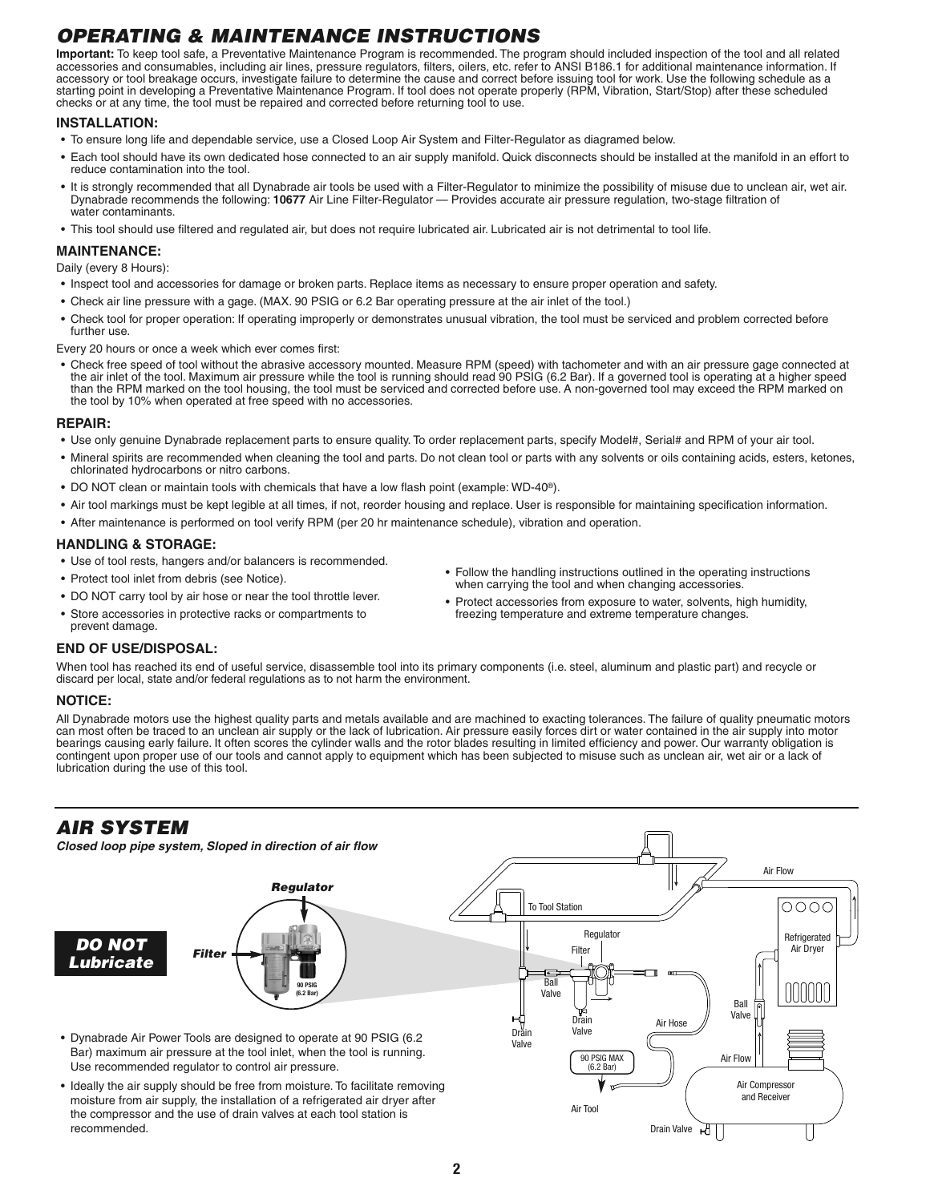# **OPERATING & MAINTENANCE INSTRUCTIONS**

**Important:** To keep tool safe, a Preventative Maintenance Program is recommended. The program should included inspection of the tool and all related accessories and consumables, including air lines, pressure regulators, filters, oilers, etc. refer to ANSI B186.1 for additional maintenance information. If accessory or tool breakage occurs, investigate failure to determine the cause and correct before issuing tool for work. Use the following schedule as a starting point in developing a Preventative Maintenance Program. If tool does not operate properly (RPM, Vibration, Start/Stop) after these scheduled checks or at any time, the tool must be repaired and corrected before returning tool to use.

#### **INSTALLATION:**

- To ensure long life and dependable service, use a Closed Loop Air System and Filter-Regulator as diagramed below.
- Each tool should have its own dedicated hose connected to an air supply manifold. Quick disconnects should be installed at the manifold in an effort to reduce contamination into the tool.
- It is strongly recommended that all Dynabrade air tools be used with a Filter-Regulator to minimize the possibility of misuse due to unclean air, wet air. Dynabrade recommends the following: **10677** Air Line Filter-Regulator — Provides accurate air pressure regulation, two-stage filtration of water contaminants.
- This tool should use filtered and regulated air, but does not require lubricated air. Lubricated air is not detrimental to tool life.

#### **MAINTENANCE:**

#### Daily (every 8 Hours):

- Inspect tool and accessories for damage or broken parts. Replace items as necessary to ensure proper operation and safety.
- Check air line pressure with a gage. (MAX. 90 PSIG or 6.2 Bar operating pressure at the air inlet of the tool.)
- Check tool for proper operation: If operating improperly or demonstrates unusual vibration, the tool must be serviced and problem corrected before further use.

Every 20 hours or once a week which ever comes first:

• Check free speed of tool without the abrasive accessory mounted. Measure RPM (speed) with tachometer and with an air pressure gage connected at the air inlet of the tool. Maximum air pressure while the tool is running should read 90 PSIG (6.2 Bar). If a governed tool is operating at a higher speed than the RPM marked on the tool housing, the tool must be serviced and corrected before use. A non-governed tool may exceed the RPM marked on the tool by 10% when operated at free speed with no accessories.

#### **REPAIR:**

- Use only genuine Dynabrade replacement parts to ensure quality. To order replacement parts, specify Model#, Serial# and RPM of your air tool.
- Mineral spirits are recommended when cleaning the tool and parts. Do not clean tool or parts with any solvents or oils containing acids, esters, ketones, chlorinated hydrocarbons or nitro carbons.
- DO NOT clean or maintain tools with chemicals that have a low flash point (example: WD-40®).
- Air tool markings must be kept legible at all times, if not, reorder housing and replace. User is responsible for maintaining specification information.
- After maintenance is performed on tool verify RPM (per 20 hr maintenance schedule), vibration and operation.

#### **HANDLING & STORAGE:**

- Use of tool rests, hangers and/or balancers is recommended.
- Protect tool inlet from debris (see Notice).
- DO NOT carry tool by air hose or near the tool throttle lever.
- Store accessories in protective racks or compartments to prevent damage.
- Follow the handling instructions outlined in the operating instructions when carrying the tool and when changing accessories.
- Protect accessories from exposure to water, solvents, high humidity, freezing temperature and extreme temperature changes.

Drain Valve

भा

#### **END OF USE/DISPOSAL:**

When tool has reached its end of useful service, disassemble tool into its primary components (i.e. steel, aluminum and plastic part) and recycle or discard per local, state and/or federal regulations as to not harm the environment.

#### **NOTICE:**

All Dynabrade motors use the highest quality parts and metals available and are machined to exacting tolerances. The failure of quality pneumatic motors can most often be traced to an unclean air supply or the lack of lubrication. Air pressure easily forces dirt or water contained in the air supply into motor bearings causing early failure. It often scores the cylinder walls and the rotor blades resulting in limited efficiency and power. Our warranty obligation is contingent upon proper use of our tools and cannot apply to equipment which has been subjected to misuse such as unclean air, wet air or a lack of lubrication during the use of this tool.



recommended.

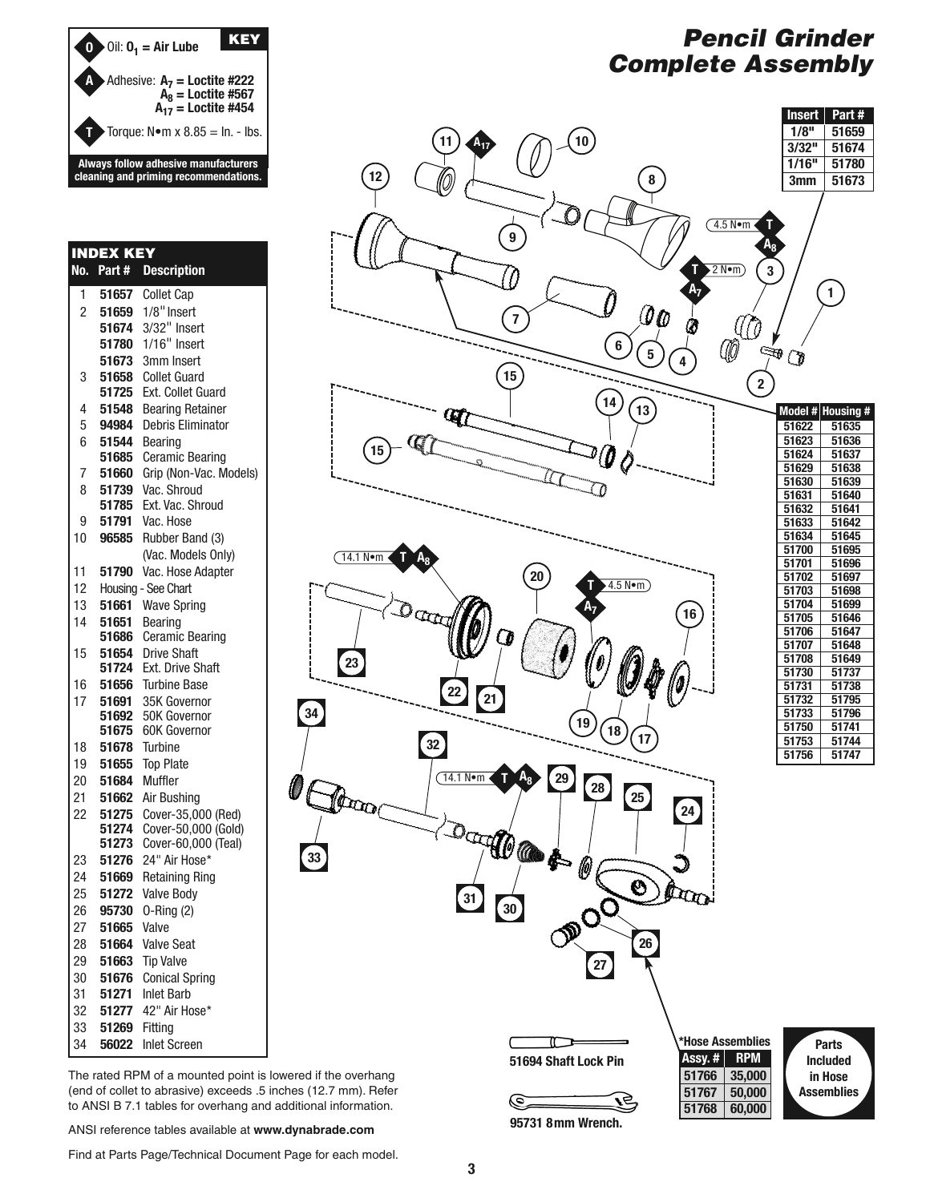

#### 1 **51657** Collet Cap 2 **51659** 1/8" Insert **51674** 3/32" Insert **51780** 1/16" Insert **51673** 3mm Insert 3 **51658** Collet Guard **51725** Ext. Collet Guard 4 **51548** Bearing Retainer 5 **94984** Debris Eliminator 6 **51544** Bearing **51685** Ceramic Bearing 7 **51660** Grip (Non-Vac. Models) 8 **51739** Vac. Shroud **51785** Ext. Vac. Shroud 9 **51791** Vac. Hose 10 **96585** Rubber Band (3) (Vac. Models Only) 11 **51790** Vac. Hose Adapter 12 Housing - See Chart 13 **51661** Wave Spring 14 **51651** Bearing **51686** Ceramic Bearing 15 **51654** Drive Shaft **51724** Ext. Drive Shaft 16 **51656** Turbine Base 17 **51691** 35K Governor **51692** 50K Governor **51675** 60K Governor 18 **51678** Turbine 19 **51655** Top Plate 20 **51684** Muffler 21 **51662** Air Bushing 22 **51275** Cover-35,000 (Red) **51274** Cover-50,000 (Gold) **51273** Cover-60,000 (Teal) 23 **51276** 24" Air Hose\* 24 **51669** Retaining Ring 25 **51272** Valve Body 26 **95730** O-Ring (2) 27 **51665** Valve 28 **51664** Valve Seat 29 **51663** Tip Valve 30 **51676** Conical Spring 31 **51271** Inlet Barb 32 **51277** 42" Air Hose\* 33 **51269** Fitting **INDEX KEY No. Part # Description**

34 **56022** Inlet Screen

# **Pencil Grinder Complete Assembly**



ANSI reference tables available at **www.dynabrade.com**

Find at Parts Page/Technical Document Page for each model.